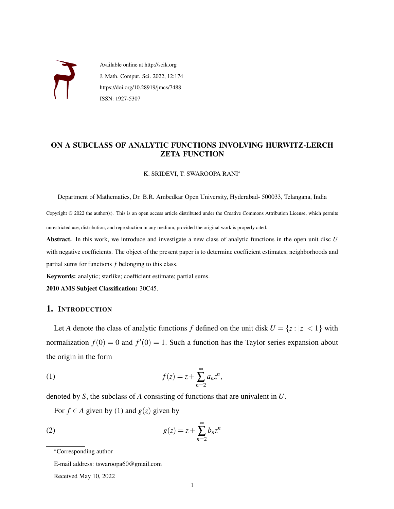

Available online at http://scik.org J. Math. Comput. Sci. 2022, 12:174 https://doi.org/10.28919/jmcs/7488 ISSN: 1927-5307

## ON A SUBCLASS OF ANALYTIC FUNCTIONS INVOLVING HURWITZ-LERCH ZETA FUNCTION

K. SRIDEVI, T. SWAROOPA RANI<sup>∗</sup>

Department of Mathematics, Dr. B.R. Ambedkar Open University, Hyderabad- 500033, Telangana, India

Copyright © 2022 the author(s). This is an open access article distributed under the Creative Commons Attribution License, which permits unrestricted use, distribution, and reproduction in any medium, provided the original work is properly cited.

Abstract. In this work, we introduce and investigate a new class of analytic functions in the open unit disc *U* with negative coefficients. The object of the present paper is to determine coefficient estimates, neighborhoods and partial sums for functions *f* belonging to this class.

Keywords: analytic; starlike; coefficient estimate; partial sums.

2010 AMS Subject Classification: 30C45.

### 1. INTRODUCTION

<span id="page-0-0"></span>Let *A* denote the class of analytic functions *f* defined on the unit disk  $U = \{z : |z| < 1\}$  with normalization  $f(0) = 0$  and  $f'(0) = 1$ . Such a function has the Taylor series expansion about the origin in the form

(1) 
$$
f(z) = z + \sum_{n=2}^{\infty} a_n z^n,
$$

denoted by *S*, the subclass of *A* consisting of functions that are univalent in *U*.

For  $f \in A$  given by [\(1\)](#page-0-0) and  $g(z)$  given by

(2) 
$$
g(z) = z + \sum_{n=2}^{\infty} b_n z^n
$$

E-mail address: tswaroopa60@gmail.com

Received May 10, 2022

<sup>∗</sup>Corresponding author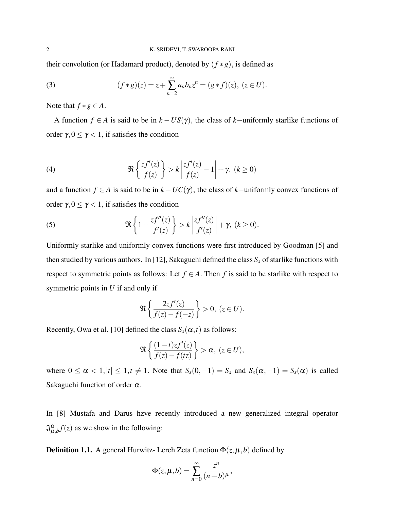their convolution (or Hadamard product), denoted by  $(f * g)$ , is defined as

(3) 
$$
(f * g)(z) = z + \sum_{n=2}^{\infty} a_n b_n z^n = (g * f)(z), (z \in U).
$$

Note that  $f * g \in A$ .

A function *f* ∈ *A* is said to be in  $k - US(\gamma)$ , the class of *k*-uniformly starlike functions of order γ,  $0 \le \gamma < 1$ , if satisfies the condition

(4) 
$$
\Re\left\{\frac{zf'(z)}{f(z)}\right\} > k\left|\frac{zf'(z)}{f(z)} - 1\right| + \gamma, \ (k \ge 0)
$$

and a function  $f \in A$  is said to be in  $k - UC(\gamma)$ , the class of  $k$ −uniformly convex functions of order  $\gamma, 0 \leq \gamma < 1$ , if satisfies the condition

(5) 
$$
\Re\left\{1+\frac{zf''(z)}{f'(z)}\right\} > k\left|\frac{zf''(z)}{f'(z)}\right| + \gamma, \ (k \ge 0).
$$

Uniformly starlike and uniformly convex functions were first introduced by Goodman [\[5\]](#page-12-0) and then studied by various authors. In [\[12\]](#page-12-1), Sakaguchi defined the class  $S<sub>s</sub>$  of starlike functions with respect to symmetric points as follows: Let  $f \in A$ . Then f is said to be starlike with respect to symmetric points in *U* if and only if

$$
\Re\left\{\frac{2zf'(z)}{f(z)-f(-z)}\right\}>0, (z\in U).
$$

Recently, Owa et al. [\[10\]](#page-12-2) defined the class  $S<sub>s</sub>(\alpha, t)$  as follows:

$$
\Re\left\{\frac{(1-t)zf'(z)}{f(z)-f(tz)}\right\} > \alpha, \ (z \in U),
$$

where  $0 \le \alpha < 1, |t| \le 1, t \ne 1$ . Note that  $S_s(0, -1) = S_s$  and  $S_s(\alpha, -1) = S_s(\alpha)$  is called Sakaguchi function of order  $\alpha$ .

In [8] Mustafa and Darus hzve recently introduced a new generalized integral operator  $\mathfrak{J}_{\mu,b}^{\alpha} f(z)$  as we show in the following:

**Definition 1.1.** A general Hurwitz- Lerch Zeta function  $\Phi(z, \mu, b)$  defined by

$$
\Phi(z,\mu,b)=\sum_{n=0}^\infty\frac{z^n}{(n+b)^\mu},
$$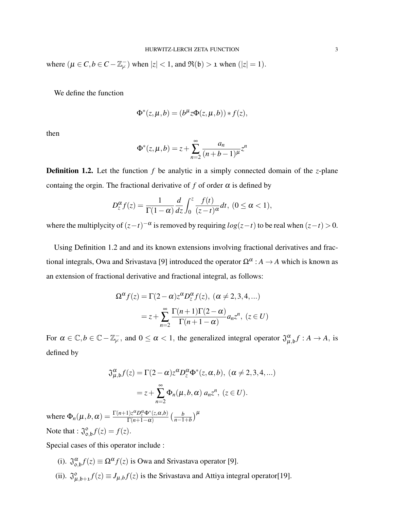where  $(\mu \in C, b \in C - \mathbb{Z}_{\mu}^{-})$  when  $|z| < 1$ , and  $\Re(\mathfrak{b}) > 1$  when  $(|z| = 1)$ .

We define the function

$$
\Phi^*(z,\mu,b)=(b^{\mu}z\Phi(z,\mu,b))*f(z),
$$

then

$$
\Phi^*(z, \mu, b) = z + \sum_{n=2}^{\infty} \frac{a_n}{(n+b-1)^{\mu}} z^n
$$

Definition 1.2. Let the function *f* be analytic in a simply connected domain of the *z*-plane containg the orgin. The fractional derivative of f of order  $\alpha$  is defined by

$$
D_z^{\alpha} f(z) = \frac{1}{\Gamma(1-\alpha)} \frac{d}{dz} \int_0^z \frac{f(t)}{(z-t)^{\alpha}} dt, \ (0 \le \alpha < 1),
$$

where the multiplycity of  $(z-t)^{-\alpha}$  is removed by requiring  $log(z-t)$  to be real when  $(z-t) > 0$ .

Using Definition 1.2 and and its known extensions involving fractional derivatives and fractional integrals, Owa and Srivastava [9] introduced the operator  $\Omega^{\alpha}: A \to A$  which is known as an extension of fractional derivative and fractional integral, as follows:

$$
\Omega^{\alpha} f(z) = \Gamma(2 - \alpha) z^{\alpha} D_z^{\alpha} f(z), \ (\alpha \neq 2, 3, 4, ...)
$$

$$
= z + \sum_{n=2}^{\infty} \frac{\Gamma(n+1)\Gamma(2 - \alpha)}{\Gamma(n+1 - \alpha)} a_n z^n, \ (z \in U)
$$

For  $\alpha \in \mathbb{C}, b \in \mathbb{C} - \mathbb{Z}_{\neq}^{-}$ , and  $0 \leq \alpha < 1$ , the generalized integral operator  $\mathfrak{J}_{\mu,b}^{\alpha} f : A \to A$ , is defined by

$$
\mathfrak{J}_{\mu,b}^{\alpha} f(z) = \Gamma(2-\alpha) z^{\alpha} D_z^{\alpha} \Phi^*(z,\alpha,b), \ (\alpha \neq 2,3,4,...)
$$

$$
= z + \sum_{n=2}^{\infty} \Phi_n(\mu,b,\alpha) a_n z^n, \ (z \in U).
$$

where  $\Phi_n(\mu, b, \alpha) = \frac{\Gamma(n+1)z^{\alpha}D_z^{\alpha}\Phi^*(z, \alpha, b)}{\Gamma(n+1-\alpha)}$  $\frac{\Gamma(z^a D_z^a \Phi^*(z,\alpha,b))}{\Gamma(n+1-\alpha)}$   $\left(\frac{b}{n-1}\right)$  $\frac{b}{n-1+b}$ <sup> $\mu$ </sup> Note that :  $\mathfrak{J}^{\circ}_{0}$  $_{0,b}^{0}f(z) = f(z).$ 

Special cases of this operator include :

- (i).  $\mathfrak{J}_{\mathfrak{0},\mathfrak{b}}^{\alpha} f(z) \equiv \Omega^{\alpha} f(z)$  is Owa and Srivastava operator [9].
- $(ii)$ .  $\mathfrak{J}_{\mu}^{\circ}$  $\int_{\mu,b+1}^b f(z) \equiv J_{\mu,b}f(z)$  is the Srivastava and Attiya integral operator[19].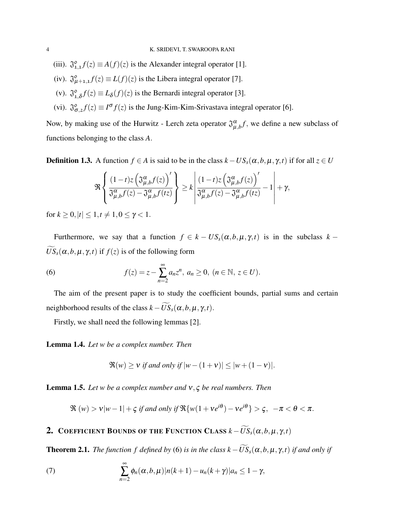- (iii).  $\mathfrak{J}_{1,1}^{\circ} f(z) \equiv A(f)(z)$  is the Alexander integral operator [1].
- (iv).  $\mathfrak{J}_{\mu+1,1}^{\circ} f(z) \equiv L(f)(z)$  is the Libera integral operator [7].
- $(v)$ .  $\mathfrak{J}_{1}^{\circ}$  $\int_{1,\delta}^{\infty} f(z) \equiv L_{\delta}(f)(z)$  is the Bernardi integral operator [3].
- (vi).  $\mathfrak{J}_{\sigma,2}^{\circ} f(z) \equiv I^{\sigma} f(z)$  is the Jung-Kim-Kim-Srivastava integral operator [6].

Now, by making use of the Hurwitz - Lerch zeta operator  $\mathfrak{J}^{\alpha}_{\mu,b}f$ , we define a new subclass of functions belonging to the class *A*.

<span id="page-3-1"></span>**Definition 1.3.** A function  $f \in A$  is said to be in the class  $k - US_s(\alpha, b, \mu, \gamma, t)$  if for all  $z \in U$ 

<span id="page-3-0"></span>
$$
\Re\left\{\frac{(1-t)z\left(\mathfrak{J}_{\mu,b}^{\alpha}f(z)\right)'}{\mathfrak{J}_{\mu,b}^{\alpha}f(z)-\mathfrak{J}_{\mu,b}^{\alpha}f(tz)}\right\} \geq k\left|\frac{(1-t)z\left(\mathfrak{J}_{\mu,b}^{\alpha}f(z)\right)'}{\mathfrak{J}_{\mu,b}^{\alpha}f(z)-\mathfrak{J}_{\mu,b}^{\alpha}f(tz)}-1\right|+\gamma,
$$

for  $k > 0, |t| < 1, t \neq 1, 0 \leq \gamma < 1$ .

Furthermore, we say that a function  $f \in k - US_s(\alpha, b, \mu, \gamma, t)$  is in the subclass  $k \widetilde{US}_s(\alpha, b, \mu, \gamma, t)$  if  $f(z)$  is of the following form

(6) 
$$
f(z) = z - \sum_{n=2}^{\infty} a_n z^n, \ a_n \ge 0, \ (n \in \mathbb{N}, \ z \in U).
$$

The aim of the present paper is to study the coefficient bounds, partial sums and certain neighborhood results of the class  $k - \widetilde{US}_s(\alpha, b, \mu, \gamma, t)$ .

Firstly, we shall need the following lemmas [\[2\]](#page-12-3).

<span id="page-3-3"></span>Lemma 1.4. *Let w be a complex number. Then*

<span id="page-3-4"></span>
$$
\Re(w) \ge v \text{ if and only if } |w - (1 + v)| \le |w + (1 - v)|.
$$

<span id="page-3-2"></span>Lemma 1.5. *Let w be a complex number and* ν, ς *be real numbers. Then*

$$
\Re(w) > v|w-1| + \varsigma \text{ if and only if } \Re\{w(1+ve^{i\theta})-ve^{i\theta}\} > \varsigma, \quad -\pi < \theta < \pi.
$$

## **2.** COEFFICIENT BOUNDS OF THE FUNCTION CLASS  $k - \widetilde{US}_s(\alpha, b, \mu, \gamma, t)$

**Theorem 2.1.** *The function f defined by* [\(6\)](#page-3-0) *is in the class*  $k - \widetilde{US}_s(\alpha, b, \mu, \gamma, t)$  *if and only if* 

(7) 
$$
\sum_{n=2}^{\infty} \phi_n(\alpha, b, \mu) |n(k+1) - u_n(k+\gamma)| a_n \leq 1 - \gamma,
$$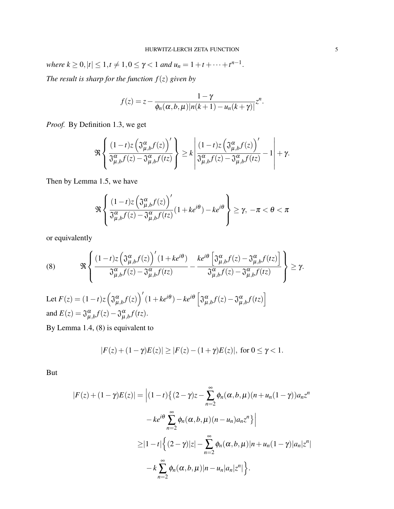$$ *The result is sharp for the function*  $f(z)$  *given by* 

$$
f(z) = z - \frac{1 - \gamma}{\phi_n(\alpha, b, \mu) |n(k+1) - u_n(k+\gamma)|} z^n.
$$

*Proof.* By Definition [1.3,](#page-3-1) we get

$$
\Re\left\{\frac{(1-t)z\left(\mathfrak{J}_{\mu,b}^{\alpha}f(z)\right)'}{\mathfrak{J}_{\mu,b}^{\alpha}f(z)-\mathfrak{J}_{\mu,b}^{\alpha}f(tz)}\right\} \geq k\left|\frac{(1-t)z\left(\mathfrak{J}_{\mu,b}^{\alpha}f(z)\right)'}{\mathfrak{J}_{\mu,b}^{\alpha}f(z)-\mathfrak{J}_{\mu,b}^{\alpha}f(tz)}-1\right|+\gamma.
$$

Then by Lemma [1.5,](#page-3-2) we have

<span id="page-4-0"></span>
$$
\Re\left\{\frac{(1-t)z\left(\mathfrak{J}_{\mu,b}^{\alpha}f(z)\right)'}{\mathfrak{J}_{\mu,b}^{\alpha}f(z)-\mathfrak{J}_{\mu,b}^{\alpha}f(tz)}(1+k e^{i\theta})-ke^{i\theta}\right\}\geq\gamma,\ -\pi<\theta<\pi
$$

or equivalently

(8) 
$$
\Re \left\{ \frac{(1-t)z \left(\mathfrak{J}_{\mu,b}^{\alpha} f(z)\right)'(1+ke^{i\theta})}{\mathfrak{J}_{\mu,b}^{\alpha} f(z)-\mathfrak{J}_{\mu,b}^{\alpha} f(z)} - \frac{ke^{i\theta} \left[\mathfrak{J}_{\mu,b}^{\alpha} f(z)-\mathfrak{J}_{\mu,b}^{\alpha} f(z)\right]}{\mathfrak{J}_{\mu,b}^{\alpha} f(z)-\mathfrak{J}_{\mu,b}^{\alpha} f(z)} \right\} \geq \gamma.
$$
  
Let  $F(z) = (1-t)z \left(\mathfrak{J}_{\mu,b}^{\alpha} f(z)\right)'(1+ke^{i\theta})-ke^{i\theta} \left[\mathfrak{J}_{\mu,b}^{\alpha} f(z)-\mathfrak{J}_{\mu,b}^{\alpha} f(z)\right]$ 

and 
$$
E(z) = \mathfrak{J}_{\mu,b}^{\alpha} f(z) - \mathfrak{J}_{\mu,b}^{\alpha} f(tz)
$$
.

By Lemma [1.4,](#page-3-3) [\(8\)](#page-4-0) is equivalent to

$$
|F(z) + (1 - \gamma)E(z)| \ge |F(z) - (1 + \gamma)E(z)|, \text{ for } 0 \le \gamma < 1.
$$

But

$$
|F(z)+(1-\gamma)E(z)| = \left|(1-t)\left\{(2-\gamma)z-\sum_{n=2}^{\infty}\phi_n(\alpha,b,\mu)(n+u_n(1-\gamma))a_nz^n\right.\right.
$$
  

$$
-ke^{i\theta}\sum_{n=2}^{\infty}\phi_n(\alpha,b,\mu)(n-u_n)a_nz^n\right\}
$$
  

$$
\geq |1-t|\left\{(2-\gamma)|z|-\sum_{n=2}^{\infty}\phi_n(\alpha,b,\mu)|n+u_n(1-\gamma)|a_n|z^n|\right\}
$$
  

$$
-k\sum_{n=2}^{\infty}\phi_n(\alpha,b,\mu)|n-u_n|a_n|z^n|\right\}.
$$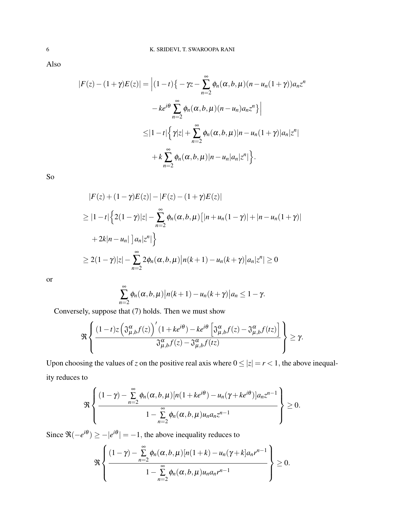Also

$$
|F(z) - (1+\gamma)E(z)| = \left| (1-t)\{-\gamma z - \sum_{n=2}^{\infty} \phi_n(\alpha, b, \mu)(n - u_n(1+\gamma))a_n z^n \right|
$$
  

$$
-ke^{i\theta} \sum_{n=2}^{\infty} \phi_n(\alpha, b, \mu)(n - u_n)a_n z^n \} \Big|
$$
  

$$
\leq |1-t| \left\{ \gamma |z| + \sum_{n=2}^{\infty} \phi_n(\alpha, b, \mu)|n - u_n(1+\gamma)|a_n| z^n \right\}
$$
  

$$
+ k \sum_{n=2}^{\infty} \phi_n(\alpha, b, \mu)|n - u_n|a_n| z^n \}.
$$

So

$$
|F(z) + (1 - \gamma)E(z)| - |F(z) - (1 + \gamma)E(z)|
$$
  
\n
$$
\geq |1 - t| \left\{ 2(1 - \gamma)|z| - \sum_{n=2}^{\infty} \phi_n(\alpha, b, \mu) [|n + u_n(1 - \gamma)| + |n - u_n(1 + \gamma)|
$$
  
\n
$$
+ 2k|n - u_n| \left] a_n |z^n| \right\}
$$
  
\n
$$
\geq 2(1 - \gamma)|z| - \sum_{n=2}^{\infty} 2\phi_n(\alpha, b, \mu) |n(k + 1) - u_n(k + \gamma)|a_n |z^n| \geq 0
$$

or

$$
\sum_{n=2}^{\infty} \phi_n(\alpha, b, \mu) |n(k+1) - u_n(k+\gamma)| a_n \leq 1 - \gamma.
$$

Conversely, suppose that [\(7\)](#page-3-4) holds. Then we must show

$$
\Re\left\{\frac{(1-t)z\left(\mathfrak{J}_{\mu,b}^{\alpha}f(z)\right)'(1+ke^{i\theta})-ke^{i\theta}\left[\mathfrak{J}_{\mu,b}^{\alpha}f(z)-\mathfrak{J}_{\mu,b}^{\alpha}f(tz)\right]}{\mathfrak{J}_{\mu,b}^{\alpha}f(z)-\mathfrak{J}_{\mu,b}^{\alpha}f(tz)}\right\}\geq\gamma.
$$

Upon choosing the values of *z* on the positive real axis where  $0 \le |z| = r < 1$ , the above inequality reduces to

$$
\Re\left\{\frac{(1-\gamma)-\sum\limits_{n=2}^{\infty}\phi_n(\alpha,b,\mu)[n(1+ke^{i\theta})-u_n(\gamma+ke^{i\theta})]a_nz^{n-1}}{1-\sum\limits_{n=2}^{\infty}\phi_n(\alpha,b,\mu)u_na_nz^{n-1}}\right\}\geq 0.
$$

Since  $\Re(-e^{i\theta}) \ge -|e^{i\theta}| = -1$ , the above inequality reduces to

$$
\Re\left\{\frac{(1-\gamma)-\sum_{n=2}^{\infty}\phi_n(\alpha,b,\mu)[n(1+k)-u_n(\gamma+k]a_nr^{n-1})}{1-\sum_{n=2}^{\infty}\phi_n(\alpha,b,\mu)u_na_nr^{n-1}}\right\}\geq 0.
$$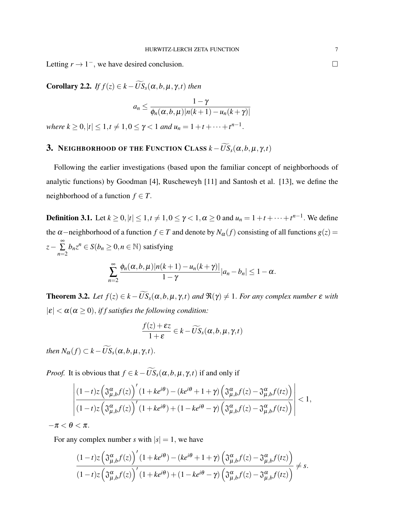Letting  $r \to 1^-$ , we have desired conclusion.

**Corollary 2.2.** *If*  $f(z) \in k - \widetilde{US}_s(\alpha, b, \mu, \gamma, t)$  *then* 

$$
a_n \leq \frac{1-\gamma}{\phi_n(\alpha, b, \mu)|n(k+1) - u_n(k+\gamma)|}
$$

 $$ 

# 3. NEIGHBORHOOD OF THE FUNCTION CLASS  $k - \widetilde{US}_s(\alpha, b, \mu, \gamma, t)$

Following the earlier investigations (based upon the familiar concept of neighborhoods of analytic functions) by Goodman [\[4\]](#page-12-4), Ruscheweyh [\[11\]](#page-12-5) and Santosh et al. [\[13\]](#page-12-6), we define the neighborhood of a function  $f \in T$ .

**Definition 3.1.** Let  $k \geq 0, |t| \leq 1, t \neq 1, 0 \leq \gamma < 1, \alpha \geq 0$  and  $u_n = 1 + t + \cdots + t^{n-1}$ . We define the  $\alpha$ –neighborhood of a function  $f \in T$  and denote by  $N_{\alpha}(f)$  consisting of all functions  $g(z)$  = *z*− ∞ ∑ *n*=2  $b_n z^n \in S(b_n \geq 0, n \in \mathbb{N})$  satisfying

$$
\sum_{n=2}^{\infty} \frac{\phi_n(\alpha, b, \mu)|n(k+1) - u_n(k+\gamma)|}{1-\gamma} |a_n - b_n| \leq 1-\alpha.
$$

**Theorem 3.2.** *Let*  $f(z) \in k - \widetilde{US}_s(\alpha, b, \mu, \gamma, t)$  *and*  $\Re(\gamma) \neq 1$ *. For any complex number*  $\varepsilon$  *with*  $|\varepsilon| < \alpha(\alpha \ge 0)$ , *iff satisfies the following condition:* 

$$
\frac{f(z)+\varepsilon z}{1+\varepsilon}\in k-\widetilde{US}_s(\alpha,b,\mu,\gamma,t)
$$

*then*  $N_{\alpha}(f) \subset k - \widetilde{US}_{s}(\alpha, b, \mu, \gamma, t)$ .

*Proof.* It is obvious that  $f \in k - \widetilde{US}_s(\alpha, b, \mu, \gamma, t)$  if and only if

$$
\left|\frac{(1-t)z\left(\mathfrak{J}_{\mu,b}^{\alpha}f(z)\right)'(1+ke^{i\theta})-(ke^{i\theta}+1+\gamma)\left(\mathfrak{J}_{\mu,b}^{\alpha}f(z)-\mathfrak{J}_{\mu,b}^{\alpha}f(tz)\right)}{(1-t)z\left(\mathfrak{J}_{\mu,b}^{\alpha}f(z)\right)'(1+ke^{i\theta})+(1-ke^{i\theta}-\gamma)\left(\mathfrak{J}_{\mu,b}^{\alpha}f(z)-\mathfrak{J}_{\mu,b}^{\alpha}f(tz)\right)}\right|<1,
$$

 $-\pi < \theta < \pi$ .

For any complex number *s* with  $|s| = 1$ , we have

$$
\frac{(1-t)z\left(\mathfrak{J}^{\alpha}_{\mu,b}f(z)\right)'(1+ke^{i\theta})-(ke^{i\theta}+1+\gamma)\left(\mathfrak{J}^{\alpha}_{\mu,b}f(z)-\mathfrak{J}^{\alpha}_{\mu,b}f(tz)\right)}{(1-t)z\left(\mathfrak{J}^{\alpha}_{\mu,b}f(z)\right)'(1+ke^{i\theta})+(1-ke^{i\theta}-\gamma)\left(\mathfrak{J}^{\alpha}_{\mu,b}f(z)-\mathfrak{J}^{\alpha}_{\mu,b}f(tz)\right)} \neq s.
$$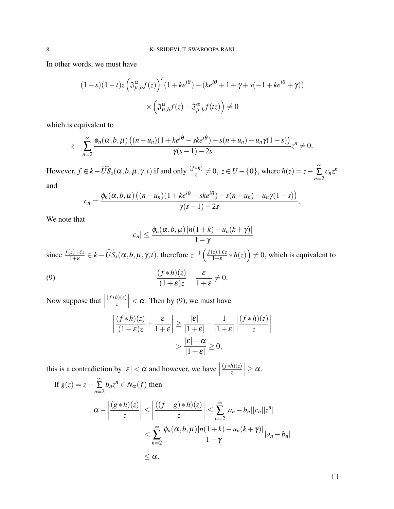In other words, we must have

$$
(1-s)(1-t)z\left(\mathfrak{J}_{\mu,b}^{\alpha}f(z)\right)'(1+ke^{i\theta})-(ke^{i\theta}+1+\gamma+s(-1+ke^{i\theta}+\gamma))
$$

$$
\times\left(\mathfrak{J}_{\mu,b}^{\alpha}f(z)-\mathfrak{J}_{\mu,b}^{\alpha}f(tz)\right)\neq0
$$

which is equivalent to

$$
z-\sum_{n=2}^{\infty}\frac{\phi_n(\alpha,b,\mu)\left((n-u_n)(1+ke^{i\theta}-ske^{i\theta})-s(n+u_n)-u_n\gamma(1-s)\right)}{\gamma(s-1)-2s}z^n\neq 0.
$$

However,  $f \in k - \widetilde{US}_s(\alpha, b, \mu, \gamma, t)$  if and only  $\frac{(f * h)}{z} \neq 0$ ,  $z \in U - \{0\}$ , where  $h(z) = z - \sum_{n=0}^{\infty}$ ∑ *n*=2  $c_n z^n$ and

$$
c_n=\frac{\phi_n(\alpha,b,\mu)\left((n-u_n)(1+ke^{i\theta}-ske^{i\theta})-s(n+u_n)-u_n\gamma(1-s)\right)}{\gamma(s-1)-2s}.
$$

We note that

<span id="page-7-0"></span>
$$
|c_n| \leq \frac{\phi_n(\alpha, b, \mu) |n(1+k) - u_n(k+\gamma)|}{1-\gamma}
$$

since  $\frac{f(z)+\varepsilon z}{1+\varepsilon} \in k - \widetilde{US}_s(\alpha, b, \mu, \gamma, t)$ , therefore  $z^{-1} \left( \frac{f(z)+\varepsilon z}{1+\varepsilon} \right)$  $\frac{(z)+\varepsilon z}{1+\varepsilon} * h(z)$   $\neq$  0, which is equivalent to

(9) 
$$
\frac{(f * h)(z)}{(1 + \varepsilon)z} + \frac{\varepsilon}{1 + \varepsilon} \neq 0.
$$

Now suppose that  $\Big|$ (*f* ∗*h*)(*z*) *z*  $\vert < \alpha$ . Then by [\(9\)](#page-7-0), we must have

$$
\left| \frac{(f * h)(z)}{(1 + \varepsilon)z} + \frac{\varepsilon}{1 + \varepsilon} \right| \ge \frac{|\varepsilon|}{|1 + \varepsilon|} - \frac{1}{|1 + \varepsilon|} \left| \frac{(f * h)(z)}{z} \right|
$$

$$
> \frac{|\varepsilon| - \alpha}{|1 + \varepsilon|} \ge 0,
$$

this is a contradiction by  $|\varepsilon| < \alpha$  and however, we have (*f* ∗*h*)(*z*) *z*  $\Big|\geq \alpha.$ 

If 
$$
g(z) = z - \sum_{n=2}^{\infty} b_n z^n \in N_{\alpha}(f)
$$
 then  
\n
$$
\alpha - \left| \frac{(g * h)(z)}{z} \right| \le \left| \frac{((f - g) * h)(z)}{z} \right| \le \sum_{n=2}^{\infty} |a_n - b_n| |c_n||z^n|
$$
\n
$$
< \sum_{n=2}^{\infty} \frac{\phi_n(\alpha, b, \mu) |n(1 + k) - u_n(k + \gamma)|}{1 - \gamma} |a_n - b_n|
$$
\n
$$
\le \alpha.
$$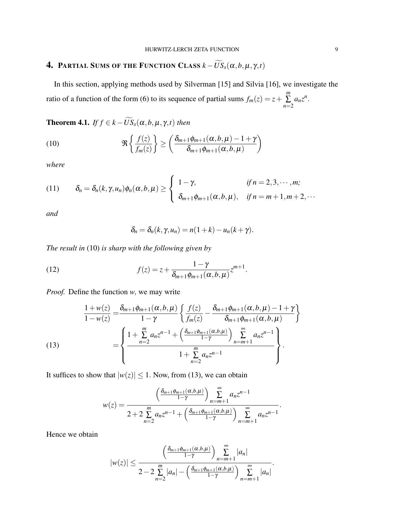## **4. PARTIAL SUMS OF THE FUNCTION CLASS**  $k - \widetilde{US}_s(\alpha, b, \mu, \gamma, t)$

In this section, applying methods used by Silverman [\[15\]](#page-12-7) and Silvia [\[16\]](#page-12-8), we investigate the ratio of a function of the form [\(6\)](#page-3-0) to its sequence of partial sums  $f_m(z) = z + z$ *m* ∑ *n*=2  $a_nz^n$ .

**Theorem 4.1.** *If*  $f \in k - \widetilde{US}_s(\alpha, b, \mu, \gamma, t)$  *then* 

(10) 
$$
\Re\left\{\frac{f(z)}{f_m(z)}\right\} \geq \left(\frac{\delta_{m+1}\phi_{m+1}(\alpha,b,\mu)-1+\gamma}{\delta_{m+1}\phi_{m+1}(\alpha,b,\mu)}\right)
$$

*where*

(11) 
$$
\delta_n = \delta_n(k, \gamma, u_n) \phi_n(\alpha, b, \mu) \ge \begin{cases} 1 - \gamma, & \text{if } n = 2, 3, \cdots, m; \\ \delta_{m+1} \phi_{m+1}(\alpha, b, \mu), & \text{if } n = m+1, m+2, \cdots \end{cases}
$$

*and*

<span id="page-8-2"></span><span id="page-8-0"></span>
$$
\delta_n=\delta_n(k,\gamma,u_n)=n(1+k)-u_n(k+\gamma).
$$

*The result in* [\(10\)](#page-8-0) *is sharp with the following given by*

(12) 
$$
f(z) = z + \frac{1 - \gamma}{\delta_{m+1} \phi_{m+1}(\alpha, b, \mu)} z^{m+1}.
$$

*Proof.* Define the function *w*, we may write

<span id="page-8-1"></span>(13) 
$$
\frac{1+w(z)}{1-w(z)} = \frac{\delta_{m+1}\phi_{m+1}(\alpha,b,\mu)}{1-\gamma} \left\{ \frac{f(z)}{f_m(z)} - \frac{\delta_{m+1}\phi_{m+1}(\alpha,b,\mu) - 1 + \gamma}{\delta_{m+1}\phi_{m+1}(\alpha,b,\mu)} \right\}
$$

$$
= \left\{ \frac{1+\sum_{n=2}^{m} a_n z^{n-1} + \left(\frac{\delta_{m+1}\phi_{m+1}(\alpha,b,\mu)}{1-\gamma}\right) \sum_{n=m+1}^{\infty} a_n z^{n-1}}{1+\sum_{n=2}^{m} a_n z^{n-1}} \right\}.
$$

It suffices to show that  $|w(z)| \leq 1$ . Now, from [\(13\)](#page-8-1), we can obtain

$$
w(z) = \frac{\left(\frac{\delta_{m+1}\phi_{m+1}(\alpha,b,\mu)}{1-\gamma}\right) \sum_{n=m+1}^{\infty} a_n z^{n-1}}{2+2 \sum_{n=2}^{m} a_n z^{n-1} + \left(\frac{\delta_{m+1}\phi_{m+1}(\alpha,b,\mu)}{1-\gamma}\right) \sum_{n=m+1}^{\infty} a_n z^{n-1}}.
$$

Hence we obtain

$$
|w(z)| \leq \frac{\left(\frac{\delta_{m+1}\phi_{m+1}(\alpha,b,\mu)}{1-\gamma}\right) \sum_{n=m+1}^{\infty} |a_n|}{2-2\sum_{n=2}^{m} |a_n| - \left(\frac{\delta_{m+1}\phi_{m+1}(\alpha,b,\mu)}{1-\gamma}\right) \sum_{n=m+1}^{\infty} |a_n|}.
$$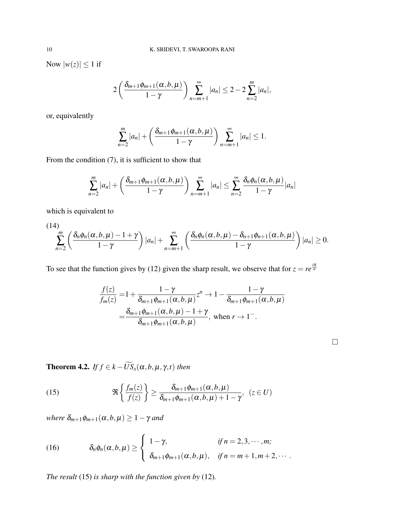Now  $|w(z)| \leq 1$  if

$$
2\left(\frac{\delta_{m+1}\phi_{m+1}(\alpha,b,\mu)}{1-\gamma}\right)\sum_{n=m+1}^{\infty}|a_n|\leq 2-2\sum_{n=2}^{m}|a_n|,
$$

or, equivalently

$$
\sum_{n=2}^m |a_n| + \left(\frac{\delta_{m+1}\phi_{m+1}(\alpha,b,\mu)}{1-\gamma}\right)\sum_{n=m+1}^\infty |a_n| \leq 1.
$$

From the condition [\(7\)](#page-3-4), it is sufficient to show that

<span id="page-9-1"></span>
$$
\sum_{n=2}^{m} |a_n| + \left(\frac{\delta_{m+1}\phi_{m+1}(\alpha,b,\mu)}{1-\gamma}\right)\sum_{n=m+1}^{\infty} |a_n| \le \sum_{n=2}^{\infty} \frac{\delta_n\phi_n(\alpha,b,\mu)}{1-\gamma} |a_n|
$$

which is equivalent to

(14)  

$$
\sum_{n=2}^{m} \left( \frac{\delta_n \phi_n(\alpha, b, \mu) - 1 + \gamma}{1 - \gamma} \right) |a_n| + \sum_{n=m+1}^{\infty} \left( \frac{\delta_n \phi_n(\alpha, b, \mu) - \delta_{n+1} \phi_{n+1}(\alpha, b, \mu)}{1 - \gamma} \right) |a_n| \ge 0.
$$

To see that the function gives by [\(12\)](#page-8-2) given the sharp result, we observe that for  $z = re^{\frac{i\pi}{n}}$ 

<span id="page-9-0"></span>
$$
\frac{f(z)}{f_m(z)} = 1 + \frac{1 - \gamma}{\delta_{m+1}\phi_{m+1}(\alpha, b, \mu)} z^n \to 1 - \frac{1 - \gamma}{\delta_{m+1}\phi_{m+1}(\alpha, b, \mu)}
$$
  
= 
$$
\frac{\delta_{m+1}\phi_{m+1}(\alpha, b, \mu) - 1 + \gamma}{\delta_{m+1}\phi_{m+1}(\alpha, b, \mu)}, \text{ when } r \to 1^-.
$$

**Theorem 4.2.** *If*  $f \in k - \widetilde{US}_s(\alpha, b, \mu, \gamma, t)$  *then* 

(15) 
$$
\Re\left\{\frac{f_m(z)}{f(z)}\right\} \geq \frac{\delta_{m+1}\phi_{m+1}(\alpha,b,\mu)}{\delta_{m+1}\phi_{m+1}(\alpha,b,\mu)+1-\gamma}, \ \ (z \in U)
$$

*where*  $\delta_{m+1}\phi_{m+1}(\alpha, b, \mu) \geq 1 - \gamma$  *and* 

(16) 
$$
\delta_n \phi_n(\alpha, b, \mu) \ge \begin{cases} 1 - \gamma, & \text{if } n = 2, 3, \cdots, m; \\ \delta_{m+1} \phi_{m+1}(\alpha, b, \mu), & \text{if } n = m+1, m+2, \cdots. \end{cases}
$$

*The result* [\(15\)](#page-9-0) *is sharp with the function given by* [\(12\)](#page-8-2)*.*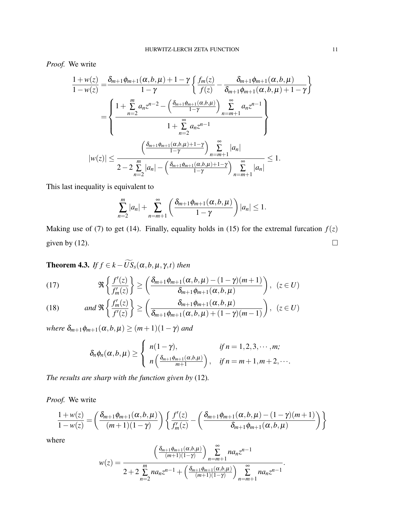*Proof.* We write

$$
\frac{1+w(z)}{1-w(z)} = \frac{\delta_{m+1}\phi_{m+1}(\alpha,b,\mu)+1-\gamma}{1-\gamma} \left\{ \frac{f_m(z)}{f(z)} - \frac{\delta_{m+1}\phi_{m+1}(\alpha,b,\mu)}{\delta_{m+1}\phi_{m+1}(\alpha,b,\mu)+1-\gamma} \right\}
$$

$$
= \left\{ \frac{1+\sum\limits_{n=2}^{m} a_n z^{n-2} - \left(\frac{\delta_{m+1}\phi_{m+1}(\alpha,b,\mu)}{1-\gamma}\right) \sum\limits_{n=m+1}^{\infty} a_n z^{n-1}}{1+\sum\limits_{n=2}^{\infty} a_n z^{n-1}} \right\}
$$

$$
|w(z)| \le \frac{\left(\frac{\delta_{m+1}\phi_{m+1}(\alpha,b,\mu)+1-\gamma}{1-\gamma}\right) \sum\limits_{n=m+1}^{\infty} |a_n|}{2-2\sum\limits_{n=2}^{m} |a_n| - \left(\frac{\delta_{m+1}\phi_{m+1}(\alpha,b,\mu)+1-\gamma}{1-\gamma}\right) \sum\limits_{n=m+1}^{\infty} |a_n|} \le 1.
$$

This last inequality is equivalent to

$$
\sum_{n=2}^m |a_n| + \sum_{n=m+1}^\infty \left( \frac{\delta_{m+1}\phi_{m+1}(\alpha,b,\mu)}{1-\gamma} \right) |a_n| \leq 1.
$$

Making use of [\(7\)](#page-3-4) to get [\(14\)](#page-9-1). Finally, equality holds in [\(15\)](#page-9-0) for the extremal furcation  $f(z)$ given by [\(12\)](#page-8-2).  $\Box$ 

**Theorem 4.3.** *If*  $f \in k - \widetilde{US}_s(\alpha, b, \mu, \gamma, t)$  *then* 

(17) 
$$
\Re\left\{\frac{f'(z)}{f'_m(z)}\right\} \ge \left(\frac{\delta_{m+1}\phi_{m+1}(\alpha,b,\mu)-(1-\gamma)(m+1)}{\delta_{m+1}\phi_{m+1}(\alpha,b,\mu)}\right), \ (z \in U)
$$

<span id="page-10-0"></span>(18) and 
$$
\Re\left\{\frac{f'_m(z)}{f'(z)}\right\} \ge \left(\frac{\delta_{m+1}\phi_{m+1}(\alpha,b,\mu)}{\delta_{m+1}\phi_{m+1}(\alpha,b,\mu)+(1-\gamma)(m-1)}\right), \ (z \in U)
$$

*where*  $\delta_{m+1}\phi_{m+1}(\alpha, b, \mu) \geq (m+1)(1-\gamma)$  *and* 

$$
\delta_n \phi_n(\alpha, b, \mu) \ge \begin{cases} n(1-\gamma), & \text{if } n = 1, 2, 3, \cdots, m; \\ n\left(\frac{\delta_{m+1}\phi_{m+1}(\alpha, b, \mu)}{m+1}\right), & \text{if } n = m+1, m+2, \cdots. \end{cases}
$$

*The results are sharp with the function given by* [\(12\)](#page-8-2)*.*

*Proof.* We write

$$
\frac{1+w(z)}{1-w(z)} = \left(\frac{\delta_{m+1}\phi_{m+1}(\alpha,b,\mu)}{(m+1)(1-\gamma)}\right) \left\{ \frac{f'(z)}{f'_m(z)} - \left(\frac{\delta_{m+1}\phi_{m+1}(\alpha,b,\mu) - (1-\gamma)(m+1)}{\delta_{m+1}\phi_{m+1}(\alpha,b,\mu)}\right) \right\}
$$

where

$$
w(z) = \frac{\left(\frac{\delta_{m+1}\phi_{m+1}(\alpha,b,\mu)}{(m+1)(1-\gamma)}\right) \sum_{n=m+1}^{\infty} na_n z^{n-1}}{2+2 \sum_{n=2}^{m} na_n z^{n-1} + \left(\frac{\delta_{m+1}\phi_{m+1}(\alpha,b,\mu)}{(m+1)(1-\gamma)}\right) \sum_{n=m+1}^{\infty} na_n z^{n-1}}.
$$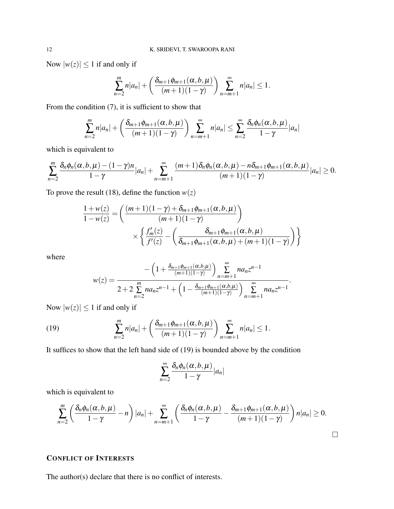Now  $|w(z)| \leq 1$  if and only if

$$
\sum_{n=2}^m n|a_n|+\left(\frac{\delta_{m+1}\phi_{m+1}(\alpha,b,\mu)}{(m+1)(1-\gamma)}\right)\sum_{n=m+1}^\infty n|a_n|\leq 1.
$$

From the condition [\(7\)](#page-3-4), it is sufficient to show that

$$
\sum_{n=2}^m n|a_n| + \left(\frac{\delta_{m+1}\phi_{m+1}(\alpha,b,\mu)}{(m+1)(1-\gamma)}\right)\sum_{n=m+1}^\infty n|a_n| \leq \sum_{n=2}^\infty \frac{\delta_n\phi_n(\alpha,b,\mu)}{1-\gamma}|a_n|
$$

which is equivalent to

$$
\sum_{n=2}^m \frac{\delta_n \phi_n(\alpha, b, \mu) - (1 - \gamma)n}{1 - \gamma} |a_n| + \sum_{n=m+1}^\infty \frac{(m+1)\delta_n \phi_n(\alpha, b, \mu) - n\delta_{m+1}\phi_{m+1}(\alpha, b, \mu)}{(m+1)(1 - \gamma)} |a_n| \ge 0.
$$

To prove the result [\(18\)](#page-10-0), define the function  $w(z)$ 

$$
\frac{1+w(z)}{1-w(z)} = \left(\frac{(m+1)(1-\gamma) + \delta_{m+1}\phi_{m+1}(\alpha, b, \mu)}{(m+1)(1-\gamma)}\right) \times \left\{\frac{f'_m(z)}{f'(z)} - \left(\frac{\delta_{m+1}\phi_{m+1}(\alpha, b, \mu)}{\delta_{m+1}\phi_{m+1}(\alpha, b, \mu) + (m+1)(1-\gamma)}\right)\right\}
$$

where

<span id="page-11-0"></span>
$$
w(z) = \frac{-\left(1 + \frac{\delta_{m+1}\phi_{m+1}(\alpha,b,\mu)}{(m+1)(1-\gamma)}\right) \sum_{n=m+1}^{\infty} na_n z^{n-1}}{2 + 2 \sum_{n=2}^{m} na_n z^{n-1} + \left(1 - \frac{\delta_{m+1}\phi_{m+1}(\alpha,b,\mu)}{(m+1)(1-\gamma)}\right) \sum_{n=m+1}^{\infty} na_n z^{n-1}}.
$$

Now  $|w(z)| \leq 1$  if and only if

(19) 
$$
\sum_{n=2}^{m} n|a_n| + \left(\frac{\delta_{m+1}\phi_{m+1}(\alpha, b, \mu)}{(m+1)(1-\gamma)}\right) \sum_{n=m+1}^{\infty} n|a_n| \leq 1.
$$

It suffices to show that the left hand side of [\(19\)](#page-11-0) is bounded above by the condition

$$
\sum_{n=2}^{\infty} \frac{\delta_n \phi_n(\alpha, b, \mu)}{1 - \gamma} |a_n|
$$

which is equivalent to

$$
\sum_{n=2}^m \left( \frac{\delta_n \phi_n(\alpha, b, \mu)}{1 - \gamma} - n \right) |a_n| + \sum_{n=m+1}^\infty \left( \frac{\delta_n \phi_n(\alpha, b, \mu)}{1 - \gamma} - \frac{\delta_{m+1} \phi_{m+1}(\alpha, b, \mu)}{(m+1)(1 - \gamma)} \right) n |a_n| \ge 0.
$$

### CONFLICT OF INTERESTS

The author(s) declare that there is no conflict of interests.